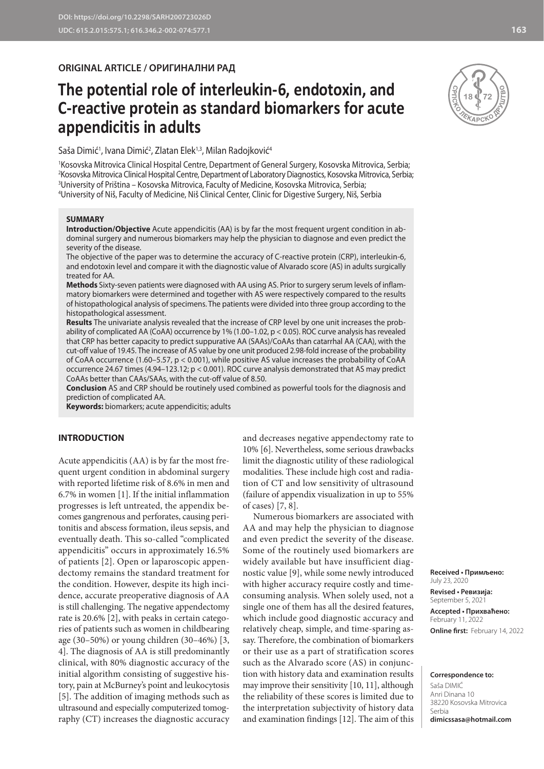**ORIGINAL ARTICLE / ОРИГИНАЛНИ РАД** 

# **The potential role of interleukin-6, endotoxin, and C-reactive protein as standard biomarkers for acute appendicitis in adults**

Saša Dimić<sup>1</sup>, Ivana Dimić<sup>2</sup>, Zlatan Elek<sup>1,3</sup>, Milan Radojković<sup>4</sup>

 Kosovska Mitrovica Clinical Hospital Centre, Department of General Surgery, Kosovska Mitrovica, Serbia; Kosovska Mitrovica Clinical Hospital Centre, Department of Laboratory Diagnostics, Kosovska Mitrovica, Serbia; University of Priština – Kosovska Mitrovica, Faculty of Medicine, Kosovska Mitrovica, Serbia; University of Niš, Faculty of Medicine, Niš Clinical Center, Clinic for Digestive Surgery, Niš, Serbia

#### **SUMMARY**

**Introduction/Objective** Acute appendicitis (AA) is by far the most frequent urgent condition in abdominal surgery and numerous biomarkers may help the physician to diagnose and even predict the severity of the disease.

The objective of the paper was to determine the accuracy of C-reactive protein (CRP), interleukin-6, and endotoxin level and compare it with the diagnostic value of Alvarado score (AS) in adults surgically treated for AA.

**Methods** Sixty-seven patients were diagnosed with AA using AS. Prior to surgery serum levels of inflammatory biomarkers were determined and together with AS were respectively compared to the results of histopathological analysis of specimens. The patients were divided into three group according to the histopathological assessment.

**Results** The univariate analysis revealed that the increase of CRP level by one unit increases the probability of complicated AA (CoAA) occurrence by 1% (1.00–1.02, p < 0.05). ROC curve analysis has revealed that CRP has better capacity to predict suppurative AA (SAAs)/CoAAs than catarrhal AA (CAA), with the cut-off value of 19.45. The increase of AS value by one unit produced 2.98-fold increase of the probability of CoAA occurrence (1.60–5.57, p < 0.001), while positive AS value increases the probability of CoAA occurrence 24.67 times (4.94–123.12; p < 0.001). ROC curve analysis demonstrated that AS may predict CoAAs better than CAAs/SAAs, with the cut-off value of 8.50.

**Conclusion** AS and CRP should be routinely used combined as powerful tools for the diagnosis and prediction of complicated AA.

**Keywords:** biomarkers; acute appendicitis; adults

#### **INTRODUCTION**

Acute appendicitis (AA) is by far the most frequent urgent condition in abdominal surgery with reported lifetime risk of 8.6% in men and 6.7% in women [1]. If the initial inflammation progresses is left untreated, the appendix becomes gangrenous and perforates, causing peritonitis and abscess formation, ileus sepsis, and eventually death. This so-called "complicated appendicitis" occurs in approximately 16.5% of patients [2]. Open or laparoscopic appendectomy remains the standard treatment for the condition. However, despite its high incidence, accurate preoperative diagnosis of AA is still challenging. The negative appendectomy rate is 20.6% [2], with peaks in certain categories of patients such as women in childbearing age (30–50%) or young children (30–46%) [3, 4]. The diagnosis of AA is still predominantly clinical, with 80% diagnostic accuracy of the initial algorithm consisting of suggestive history, pain at McBurney's point and leukocytosis [5]. The addition of imaging methods such as ultrasound and especially computerized tomography (CT) increases the diagnostic accuracy and decreases negative appendectomy rate to 10% [6]. Nevertheless, some serious drawbacks limit the diagnostic utility of these radiological modalities. These include high cost and radiation of CT and low sensitivity of ultrasound (failure of appendix visualization in up to 55% of cases) [7, 8].

Numerous biomarkers are associated with AA and may help the physician to diagnose and even predict the severity of the disease. Some of the routinely used biomarkers are widely available but have insufficient diagnostic value [9], while some newly introduced with higher accuracy require costly and timeconsuming analysis. When solely used, not a single one of them has all the desired features, which include good diagnostic accuracy and relatively cheap, simple, and time-sparing assay. Therefore, the combination of biomarkers or their use as a part of stratification scores such as the Alvarado score (AS) in conjunction with history data and examination results may improve their sensitivity [10, 11], although the reliability of these scores is limited due to the interpretation subjectivity of history data and examination findings [12]. The aim of this



**Received • Примљено:** 

**Accepted • Прихваћено:** February 11, 2022 **Online first:** February 14, 2022

#### **Correspondence to:**

Saša DIMIĆ Anri Dinana 10 38220 Kosovska Mitrovica Serbia **dimicssasa@hotmail.com**

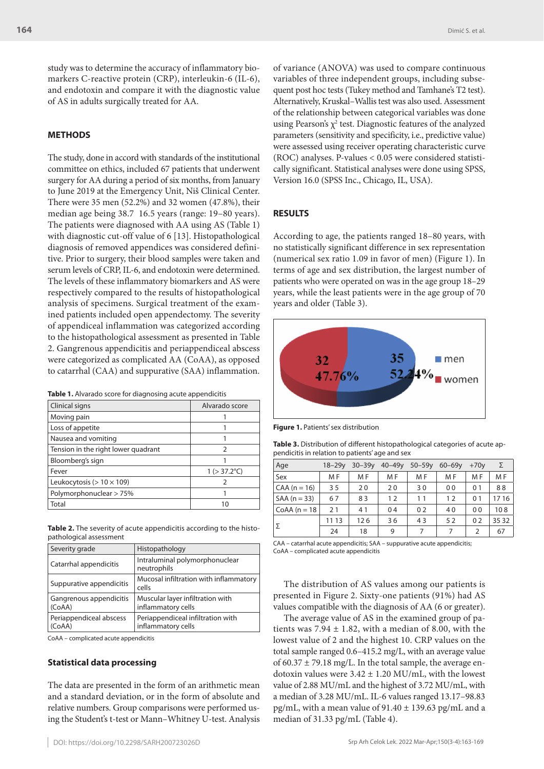study was to determine the accuracy of inflammatory biomarkers C-reactive protein (CRP), interleukin-6 (IL-6), and endotoxin and compare it with the diagnostic value of AS in adults surgically treated for AA.

## **METHODS**

The study, done in accord with standards of the institutional committee on ethics, included 67 patients that underwent surgery for AA during a period of six months, from January to June 2019 at the Emergency Unit, Niš Clinical Center. There were 35 men (52.2%) and 32 women (47.8%), their median age being 38.7 16.5 years (range: 19–80 years). The patients were diagnosed with AA using AS (Table 1) with diagnostic cut-off value of 6 [13]. Histopathological diagnosis of removed appendices was considered definitive. Prior to surgery, their blood samples were taken and serum levels of CRP, IL-6, and endotoxin were determined. The levels of these inflammatory biomarkers and AS were respectively compared to the results of histopathological analysis of specimens. Surgical treatment of the examined patients included open appendectomy. The severity of appendiceal inflammation was categorized according to the histopathological assessment as presented in Table 2. Gangrenous appendicitis and periappendiceal abscess were categorized as complicated AA (CoAA), as opposed to catarrhal (CAA) and suppurative (SAA) inflammation.

| Clinical signs                      | Alvarado score        |
|-------------------------------------|-----------------------|
| Moving pain                         |                       |
| Loss of appetite                    |                       |
| Nausea and vomiting                 |                       |
| Tension in the right lower quadrant | 2                     |
| Bloomberg's sign                    |                       |
| Fever                               | $1 (> 37.2^{\circ}C)$ |
| Leukocytosis ( $> 10 \times 109$ )  | 2                     |
| Polymorphonuclear > 75%             |                       |
| Total                               | 10                    |

**Table 2.** The severity of acute appendicitis according to the histopathological assessment

| Severity grade                    | Histopathology                                          |
|-----------------------------------|---------------------------------------------------------|
| Catarrhal appendicitis            | Intraluminal polymorphonuclear<br>neutrophils           |
| Suppurative appendicitis          | Mucosal infiltration with inflammatory<br>cells         |
| Gangrenous appendicitis<br>(CoAA) | Muscular layer infiltration with<br>inflammatory cells  |
| Periappendiceal abscess<br>(CoAA) | Periappendiceal infiltration with<br>inflammatory cells |

CoAA – complicated acute appendicitis

#### **Statistical data processing**

The data are presented in the form of an arithmetic mean and a standard deviation, or in the form of absolute and relative numbers. Group comparisons were performed using the Student's t-test or Mann–Whitney U-test. Analysis of variance (ANOVA) was used to compare continuous variables of three independent groups, including subsequent post hoc tests (Tukey method and Tamhane's T2 test). Alternatively, Kruskal–Wallis test was also used. Assessment of the relationship between categorical variables was done using Pearson's  $\chi^2$  test. Diagnostic features of the analyzed parameters (sensitivity and specificity, i.e., predictive value) were assessed using receiver operating characteristic curve (ROC) analyses. P-values < 0.05 were considered statistically significant. Statistical analyses were done using SPSS, Version 16.0 (SPSS Inc., Chicago, IL, USA).

# **RESULTS**

According to age, the patients ranged 18–80 years, with no statistically significant difference in sex representation (numerical sex ratio 1.09 in favor of men) (Figure 1). In terms of age and sex distribution, the largest number of patients who were operated on was in the age group 18–29 years, while the least patients were in the age group of 70 years and older (Table 3).



**Figure 1.** Patients' sex distribution

| Table 3. Distribution of different histopathological categories of acute ap- |  |
|------------------------------------------------------------------------------|--|
| pendicitis in relation to patients' age and sex                              |  |

| Age            | $18 - 29v$ | $30 - 39y$ | $40 - 49y$ | $50 - 59y$     | $60 - 69v$     | $+70y$         | Σ     |
|----------------|------------|------------|------------|----------------|----------------|----------------|-------|
| Sex            | M F        | M F        | M F        | M F            | M F            | M F            | M F   |
| $CAA (n = 16)$ | 35         | 20         | 20         | 30             | 0 <sub>0</sub> | 0 <sub>1</sub> | 88    |
| $SAA (n = 33)$ | 67         | 83         | 12         | 11             | 12             | 0 <sub>1</sub> | 17 16 |
| $CoAA(n=18)$   | 21         | 41         | 04         | 02             | 40             | 0 <sub>0</sub> | 108   |
| Σ              | 11 13      | 126        | 36         | 43             | 52             | 0 <sub>2</sub> | 35 32 |
|                | 24         | 18         | 9          | $\overline{ }$ | 7              | 2              | 67    |

CAA – catarrhal acute appendicitis; SAA – suppurative acute appendicitis; CoAA – complicated acute appendicitis

The distribution of AS values among our patients is presented in Figure 2. Sixty-one patients (91%) had AS values compatible with the diagnosis of AA (6 or greater).

The average value of AS in the examined group of patients was  $7.94 \pm 1.82$ , with a median of 8.00, with the lowest value of 2 and the highest 10. CRP values on the total sample ranged 0.6–415.2 mg/L, with an average value of  $60.37 \pm 79.18$  mg/L. In the total sample, the average endotoxin values were  $3.42 \pm 1.20$  MU/mL, with the lowest value of 2.88 MU/mL and the highest of 3.72 MU/mL, with a median of 3.28 MU/mL. IL-6 values ranged 13.17–98.83 pg/mL, with a mean value of  $91.40 \pm 139.63$  pg/mL and a median of 31.33 pg/mL (Table 4).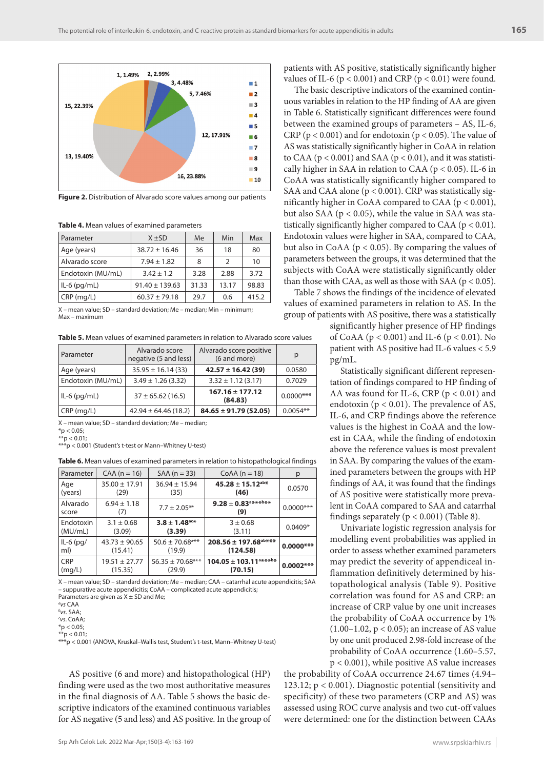

**Figure 2.** Distribution of Alvarado score values among our patients

**Table 4.** Mean values of examined parameters

| Parameter         | $X + SD$           | Me    | Min           | Max   |
|-------------------|--------------------|-------|---------------|-------|
| Age (years)       | $38.72 \pm 16.46$  | 36    | 18            | 80    |
| Alvarado score    | $7.94 \pm 1.82$    | 8     | $\mathcal{P}$ | 10    |
| Endotoxin (MU/mL) | $3.42 \pm 1.2$     | 3.28  | 2.88          | 3.72  |
| $IL-6$ (pg/mL)    | $91.40 \pm 139.63$ | 31.33 | 13.17         | 98.83 |
| $CRP$ (mg/L)      | $60.37 \pm 79.18$  | 29.7  | 0.6           | 415.2 |

X – mean value; SD – standard deviation; Me – median; Min – minimum; Max – maximum

**Table 5.** Mean values of examined parameters in relation to Alvarado score values

| Parameter         | Alvarado score<br>negative (5 and less) | Alvarado score positive<br>(6 and more) | p            |
|-------------------|-----------------------------------------|-----------------------------------------|--------------|
| Age (years)       | $35.95 \pm 16.14(33)$                   | $42.57 \pm 16.42(39)$                   | 0.0580       |
| Endotoxin (MU/mL) | $3.49 \pm 1.26$ (3.32)                  | $3.32 \pm 1.12$ (3.17)                  | 0.7029       |
| $ IL-6(pq/mL) $   | $37 \pm 65.62$ (16.5)                   | $167.16 \pm 177.12$<br>(84.83)          | $0.0000$ *** |
| CRP(mq/L)         | $42.94 \pm 64.46(18.2)$                 | $84.65 \pm 91.79(52.05)$                | $0.0054**$   |

X – mean value; SD – standard deviation; Me – median;

 $*$ p < 0.05;  $**p < 0.01;$ 

\*\*\*p < 0.001 (Student's t-test or Mann–Whitney U-test)

**Table 6.** Mean values of examined parameters in relation to histopathological findings

| Parameter         | $CAA (n = 16)$         | $SAA (n = 33)$                   | $CoAA (n = 18)$                       | р           |
|-------------------|------------------------|----------------------------------|---------------------------------------|-------------|
| Age               | $35.00 \pm 17.91$      | $36.94 \pm 15.94$                | $45.28 \pm 15.12^{ab*}$               | 0.0570      |
| (years)           | (29)                   | (35)                             | (46)                                  |             |
| Alvarado<br>score | $6.94 \pm 1.18$<br>(7) | $7.7 \pm 2.05$ <sup>a*</sup>     | $9.28 \pm 0.83$ a***b**<br>(9)        | $0.0000***$ |
| Endotoxin         | $3.1 \pm 0.68$         | $3.8 \pm 1.48$ <sup>ac*</sup>    | $3 \pm 0.68$                          | $0.0409*$   |
| (MU/mL)           | (3.09)                 | (3.39)                           | (3.11)                                |             |
| $IL-6$ (pg/       | $43.73 \pm 90.65$      | $50.6 \pm 70.68$ <sup>a**</sup>  | $208.56 \pm 197.68^{ab***}$           | $0.0000***$ |
| ml)               | (15.41)                | (19.9)                           | (124.58)                              |             |
| <b>CRP</b>        | $19.51 \pm 27.77$      | $56.35 \pm 70.68$ <sup>a**</sup> | $104.05 \pm 103.11$ <sup>a***b*</sup> | $0.0002***$ |
| (mg/L)            | (15.35)                | (29.9)                           | (70.15)                               |             |

X – mean value; SD – standard deviation; Me – median; CAA – catarrhal acute appendicitis; SAA – suppurative acute appendicitis; CoAA – complicated acute appendicitis; Parameters are given as  $X \pm SD$  and Me;

*b vs*. SАА;

*c vs*. CoАА;

\*p < 0.05;

 $A^*p < 0.01$ 

\*\*\*p < 0.001 (ANOVA, Kruskal–Wallis test, Student's t-test, Mann–Whitney U-test)

AS positive (6 and more) and histopathological (HP) finding were used as the two most authoritative measures in the final diagnosis of AA. Table 5 shows the basic descriptive indicators of the examined continuous variables for AS negative (5 and less) and AS positive. In the group of patients with AS positive, statistically significantly higher values of IL-6 ( $p < 0.001$ ) and CRP ( $p < 0.01$ ) were found.

The basic descriptive indicators of the examined continuous variables in relation to the HP finding of AA are given in Table 6. Statistically significant differences were found between the examined groups of parameters – AS, IL-6, CRP ( $p < 0.001$ ) and for endotoxin ( $p < 0.05$ ). The value of AS was statistically significantly higher in CoAA in relation to CAA ( $p < 0.001$ ) and SAA ( $p < 0.01$ ), and it was statistically higher in SAA in relation to CAA ( $p < 0.05$ ). IL-6 in CoAA was statistically significantly higher compared to SAA and CAA alone (p < 0.001). CRP was statistically significantly higher in CoAA compared to CAA (p < 0.001), but also SAA ( $p < 0.05$ ), while the value in SAA was statistically significantly higher compared to CAA ( $p < 0.01$ ). Endotoxin values were higher in SAA, compared to CAA, but also in CoAA ( $p < 0.05$ ). By comparing the values of parameters between the groups, it was determined that the subjects with CoAA were statistically significantly older than those with CAA, as well as those with SAA ( $p < 0.05$ ).

Table 7 shows the findings of the incidence of elevated values of examined parameters in relation to AS. In the group of patients with AS positive, there was a statistically

significantly higher presence of HP findings of CoAA (p < 0.001) and IL-6 (p < 0.01). No patient with AS positive had IL-6 values < 5.9 pg/mL.

Statistically significant different representation of findings compared to HP finding of AA was found for IL-6, CRP ( $p < 0.01$ ) and endotoxin ( $p < 0.01$ ). The prevalence of AS, IL-6, and CRP findings above the reference values is the highest in CoAA and the lowest in CAA, while the finding of endotoxin above the reference values is most prevalent in SAA. By comparing the values of the examined parameters between the groups with HP findings of AA, it was found that the findings of AS positive were statistically more prevalent in CoAA compared to SAA and catarrhal findings separately  $(p < 0.001)$  (Table 8).

Univariate logistic regression analysis for modelling event probabilities was applied in order to assess whether examined parameters may predict the severity of appendiceal inflammation definitively determined by histopathological analysis (Table 9). Positive correlation was found for AS and CRP: an increase of CRP value by one unit increases the probability of CoAA occurrence by 1%  $(1.00-1.02, p < 0.05)$ ; an increase of AS value by one unit produced 2.98-fold increase of the probability of CoAA occurrence (1.60–5.57, p < 0.001), while positive AS value increases

the probability of CoAA occurrence 24.67 times (4.94– 123.12; p < 0.001). Diagnostic potential (sensitivity and specificity) of these two parameters (CRP and AS) was assessed using ROC curve analysis and two cut-off values were determined: one for the distinction between CAAs

*a vs* CАА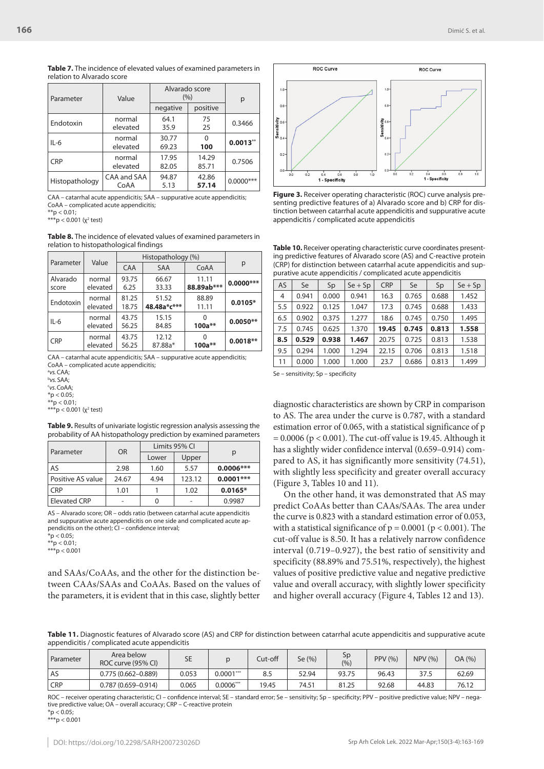| Parameter      | Value               | Alvarado score<br>(%) | р              |              |
|----------------|---------------------|-----------------------|----------------|--------------|
|                |                     | negative              | positive       |              |
| Endotoxin      | normal<br>elevated  | 64.1<br>35.9          | 75<br>25       | 0.3466       |
| $IL-6$         | normal<br>elevated  | 30.77<br>69.23        | 100            | 0.0013"      |
| <b>CRP</b>     | normal<br>elevated  | 17.95<br>82.05        | 14.29<br>85.71 | 0.7506       |
| Histopathology | CAA and SAA<br>CoAA | 94.87<br>5.13         | 42.86<br>57.14 | $0.0000$ *** |

**Table 7.** The incidence of elevated values of examined parameters in relation to Alvarado score

CAA – catarrhal acute appendicitis; SAA – suppurative acute appendicitis; CoAA – complicated acute appendicitis;

 $**p < 0.01;$ 

\*\*\*p < 0.001 (χ<sup>2</sup> test)

**Table 8.** The incidence of elevated values of examined parameters in relation to histopathological findings

| Parameter         | Value              | Histopathology (%) |                      |                     |             |
|-------------------|--------------------|--------------------|----------------------|---------------------|-------------|
|                   |                    | <b>CAA</b>         | <b>SAA</b>           | CoAA                | p           |
| Alvarado<br>score | normal<br>elevated | 93.75<br>6.25      | 66.67<br>33.33       | 11.11<br>88.89ab*** | $0.0000***$ |
| Endotoxin         | normal<br>elevated | 81.25<br>18.75     | 51.52<br>48.48a*c*** | 88.89<br>11.11      | $0.0105*$   |
| $IL-6$            | normal<br>elevated | 43.75<br>56.25     | 15.15<br>84.85       | $100a**$            | $0.0050**$  |
| <b>CRP</b>        | normal<br>elevated | 43.75<br>56.25     | 12.12<br>87.88a*     | $100a**$            | $0.0018**$  |

CAA – catarrhal acute appendicitis; SAA – suppurative acute appendicitis; CoAA – complicated acute appendicitis;

a *vs.* CАА; b *vs.* SАА; c *vs*.CoАА;  $*$ p < 0.05;  $**p < 0.01$ ;

\*\*\*p < 0.001 (χ<sup>2</sup> test)

| Table 9. Results of univariate logistic regression analysis assessing the |  |
|---------------------------------------------------------------------------|--|
| probability of AA histopathology prediction by examined parameters        |  |

| Parameter           | <b>OR</b> |       | Limits 95% CI |             |  |
|---------------------|-----------|-------|---------------|-------------|--|
|                     |           | Lower | Upper         | р           |  |
| AS                  | 2.98      | 1.60  | 5.57          | $0.0006***$ |  |
| Positive AS value   | 24.67     | 4.94  | 123.12        | $0.0001***$ |  |
| <b>CRP</b>          | 1.01      |       | 1.02          | $0.0165*$   |  |
| <b>Elevated CRP</b> |           |       |               | 0.9987      |  |

AS – Alvarado score; OR – odds ratio (between catarrhal acute appendicitis and suppurative acute appendicitis on one side and complicated acute appendicitis on the other); CI – confidence interval; \*p < 0.05;

 $*$ p < 0.01;

 $***p < 0.001$ 

and SAAs/CoAAs, and the other for the distinction between CAAs/SAAs and CoAAs. Based on the values of the parameters, it is evident that in this case, slightly better



**Figure 3.** Receiver operating characteristic (ROC) curve analysis presenting predictive features of a) Alvarado score and b) CRP for distinction between catarrhal acute appendicitis and suppurative acute appendicitis / complicated acute appendicitis

**Table 10.** Receiver operating characteristic curve coordinates presenting predictive features of Alvarado score (AS) and C-reactive protein (CRP) for distinction between catarrhal acute appendicitis and suppurative acute appendicitis / complicated acute appendicitis

| <b>AS</b> | Se    | Sp    | $Se + Sp$ | <b>CRP</b> | Se    | Sp    | $Se + Sp$ |  |
|-----------|-------|-------|-----------|------------|-------|-------|-----------|--|
| 4         | 0.941 | 0.000 | 0.941     | 16.3       | 0.765 |       | 1.452     |  |
| 5.5       | 0.922 | 0.125 | 1.047     | 17.3       | 0.745 | 0.688 | 1.433     |  |
| 6.5       | 0.902 | 0.375 | 1.277     | 18.6       | 0.745 | 0.750 | 1.495     |  |
| 7.5       | 0.745 | 0.625 | 1.370     | 19.45      | 0.745 | 0.813 | 1.558     |  |
| 8.5       | 0.529 | 0.938 | 1.467     | 20.75      | 0.725 | 0.813 | 1.538     |  |
| 9.5       | 0.294 | 1.000 | 1.294     | 22.15      | 0.706 | 0.813 | 1.518     |  |
| 11        | 0.000 | 1.000 | 1.000     | 23.7       | 0.686 | 0.813 | 1.499     |  |

Se – sensitivity; Sp – specificity

diagnostic characteristics are shown by CRP in comparison to AS. The area under the curve is 0.787, with a standard estimation error of 0.065, with a statistical significance of p  $= 0.0006$  (p < 0.001). The cut-off value is 19.45. Although it has a slightly wider confidence interval (0.659–0.914) compared to AS, it has significantly more sensitivity (74.51), with slightly less specificity and greater overall accuracy (Figure 3, Tables 10 and 11).

On the other hand, it was demonstrated that AS may predict CoAAs better than CAAs/SAAs. The area under the curve is 0.823 with a standard estimation error of 0.053, with a statistical significance of  $p = 0.0001$  ( $p < 0.001$ ). The cut-off value is 8.50. It has a relatively narrow confidence interval (0.719–0.927), the best ratio of sensitivity and specificity (88.89% and 75.51%, respectively), the highest values of positive predictive value and negative predictive value and overall accuracy, with slightly lower specificity and higher overall accuracy (Figure 4, Tables 12 and 13).

Table 11. Diagnostic features of Alvarado score (AS) and CRP for distinction between catarrhal acute appendicitis and suppurative acute appendicitis / complicated acute appendicitis

| Parameter | Area below<br>ROC curve (95% CI) | <b>SE</b> |             | Cut-off | Se (%) | <b>Sp</b><br>(%) | PPV (%) | <b>NPV (%)</b> | OA (%) |
|-----------|----------------------------------|-----------|-------------|---------|--------|------------------|---------|----------------|--------|
| AS        | 0.775 (0.662-0.889)              | 0.053     | $0.0001***$ | 8.5     | 52.94  | 93.75            | 96.43   | 37.5           | 62.69  |
| CRP       | $0.787(0.659 - 0.914)$           | 0.065     | $0.0006***$ | 19.45   | 74.51  | 81.25            | 92.68   | 44.83          | 76.12  |

ROC – receiver operating characteristic; CI – confidence interval; SE – standard error; Se – sensitivity; Sp – specificity; PPV – positive predictive value; NPV – negative predictive value; OA – overall accuracy; CRP – C-reactive protein  $*$ p < 0.05;

 $***p < 0.001$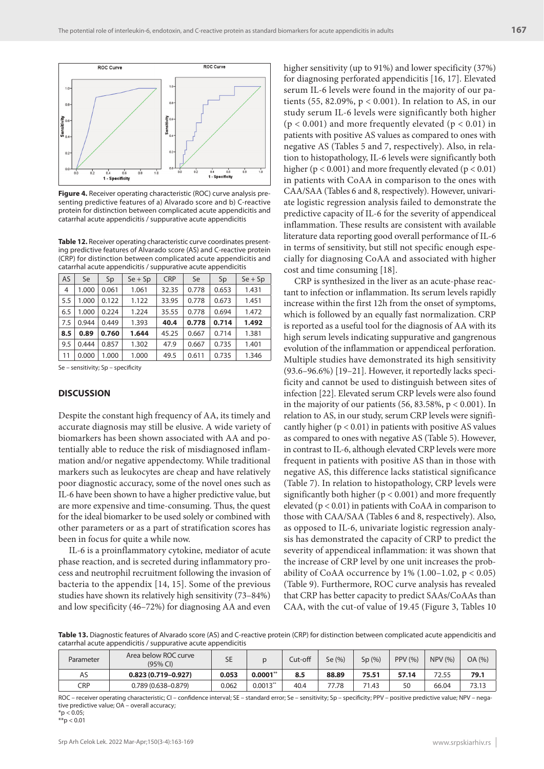

**Figure 4.** Receiver operating characteristic (ROC) curve analysis presenting predictive features of a) Alvarado score and b) C-reactive protein for distinction between complicated acute appendicitis and catarrhal acute appendicitis / suppurative acute appendicitis

**Table 12.** Receiver operating characteristic curve coordinates presenting predictive features of Alvarado score (AS) and C-reactive protein (CRP) for distinction between complicated acute appendicitis and catarrhal acute appendicitis / suppurative acute appendicitis

| AS  | Se    | Sp    | $Se + Sp$ | <b>CRP</b> | Se    | Sp    | $Se + Sp$ |  |
|-----|-------|-------|-----------|------------|-------|-------|-----------|--|
| 4   | 1.000 | 0.061 | 1.061     | 32.35      | 0.778 | 0.653 | 1.431     |  |
| 5.5 | 1.000 | 0.122 | 1.122     | 33.95      | 0.778 | 0.673 | 1.451     |  |
| 6.5 | 1.000 | 0.224 | 1.224     | 35.55      | 0.778 | 0.694 | 1.472     |  |
| 7.5 | 0.944 | 0.449 | 1.393     | 40.4       | 0.778 | 0.714 | 1.492     |  |
| 8.5 | 0.89  | 0.760 | 1.644     | 45.25      | 0.667 | 0.714 | 1.381     |  |
| 9.5 | 0.444 | 0.857 | 1.302     | 47.9       | 0.667 | 0.735 | 1.401     |  |
| 11  | 0.000 | 1.000 | 1.000     | 49.5       | 0.611 | 0.735 | 1.346     |  |

Se – sensitivity; Sp – specificity

# **DISCUSSION**

Despite the constant high frequency of AA, its timely and accurate diagnosis may still be elusive. A wide variety of biomarkers has been shown associated with AA and potentially able to reduce the risk of misdiagnosed inflammation and/or negative appendectomy. While traditional markers such as leukocytes are cheap and have relatively poor diagnostic accuracy, some of the novel ones such as IL-6 have been shown to have a higher predictive value, but are more expensive and time-consuming. Thus, the quest for the ideal biomarker to be used solely or combined with other parameters or as a part of stratification scores has been in focus for quite a while now.

IL-6 is a proinflammatory cytokine, mediator of acute phase reaction, and is secreted during inflammatory process and neutrophil recruitment following the invasion of bacteria to the appendix [14, 15]. Some of the previous studies have shown its relatively high sensitivity (73–84%) and low specificity (46–72%) for diagnosing AA and even

higher sensitivity (up to 91%) and lower specificity (37%) for diagnosing perforated appendicitis [16, 17]. Elevated serum IL-6 levels were found in the majority of our patients (55, 82.09%, p < 0.001). In relation to AS, in our study serum IL-6 levels were significantly both higher  $(p < 0.001)$  and more frequently elevated  $(p < 0.01)$  in patients with positive AS values as compared to ones with negative AS (Tables 5 and 7, respectively). Also, in relation to histopathology, IL-6 levels were significantly both higher ( $p < 0.001$ ) and more frequently elevated ( $p < 0.01$ ) in patients with CoAA in comparison to the ones with CAA/SAA (Tables 6 and 8, respectively). However, univariate logistic regression analysis failed to demonstrate the predictive capacity of IL-6 for the severity of appendiceal inflammation. These results are consistent with available literature data reporting good overall performance of IL-6 in terms of sensitivity, but still not specific enough especially for diagnosing CoAA and associated with higher cost and time consuming [18].

CRP is synthesized in the liver as an acute-phase reactant to infection or inflammation. Its serum levels rapidly increase within the first 12h from the onset of symptoms, which is followed by an equally fast normalization. CRP is reported as a useful tool for the diagnosis of AA with its high serum levels indicating suppurative and gangrenous evolution of the inflammation or appendiceal perforation. Multiple studies have demonstrated its high sensitivity (93.6–96.6%) [19–21]. However, it reportedly lacks specificity and cannot be used to distinguish between sites of infection [22]. Elevated serum CRP levels were also found in the majority of our patients  $(56, 83.58\%, p < 0.001)$ . In relation to AS, in our study, serum CRP levels were significantly higher  $(p < 0.01)$  in patients with positive AS values as compared to ones with negative AS (Table 5). However, in contrast to IL-6, although elevated CRP levels were more frequent in patients with positive AS than in those with negative AS, this difference lacks statistical significance (Table 7). In relation to histopathology, CRP levels were significantly both higher ( $p < 0.001$ ) and more frequently elevated ( $p < 0.01$ ) in patients with CoAA in comparison to those with CAA/SAA (Tables 6 and 8, respectively). Also, as opposed to IL-6, univariate logistic regression analysis has demonstrated the capacity of CRP to predict the severity of appendiceal inflammation: it was shown that the increase of CRP level by one unit increases the probability of CoAA occurrence by  $1\%$  (1.00–1.02, p < 0.05) (Table 9). Furthermore, ROC curve analysis has revealed that CRP has better capacity to predict SAAs/CoAAs than CAA, with the cut-of value of 19.45 (Figure 3, Tables 10

**Table 13.** Diagnostic features of Alvarado score (AS) and C-reactive protein (CRP) for distinction between complicated acute appendicitis and catarrhal acute appendicitis / suppurative acute appendicitis

| Parameter | Area below ROC curve<br>$(95%$ CI) | <b>SE</b> |            | Cut-off | Se (%) | Sp(%) | PPV (%) | NPV(%) | OA (%) |
|-----------|------------------------------------|-----------|------------|---------|--------|-------|---------|--------|--------|
| AS        | $0.823(0.719 - 0.927)$             | 0.053     | $0.0001**$ | 8.5     | 88.89  | 75.51 | 57.14   | 72.55  | 79.1   |
| CRP       | $0.789(0.638 - 0.879)$             | 0.062     | $0.0013**$ | 40.4    | 77.78  | 71.43 | 50      | 66.04  | 73.13  |

ROC – receiver operating characteristic; CI – confidence interval; SE – standard error; Se – sensitivity; Sp – specificity; PPV – positive predictive value; NPV – negative predictive value; OA – overall accuracy;  $*$ p < 0.05;

 $*$  $p$  < 0.01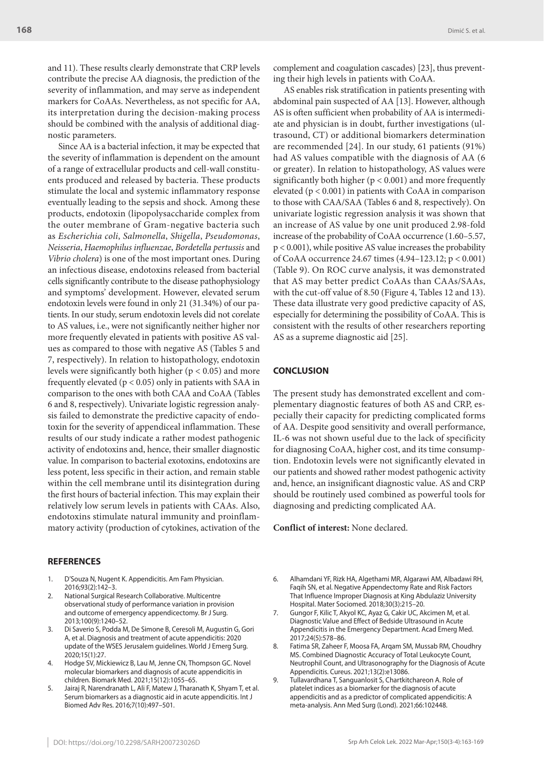and 11). These results clearly demonstrate that CRP levels contribute the precise AA diagnosis, the prediction of the severity of inflammation, and may serve as independent markers for CoAAs. Nevertheless, as not specific for AA, its interpretation during the decision-making process should be combined with the analysis of additional diagnostic parameters.

Since AA is a bacterial infection, it may be expected that the severity of inflammation is dependent on the amount of a range of extracellular products and cell-wall constituents produced and released by bacteria. These products stimulate the local and systemic inflammatory response eventually leading to the sepsis and shock. Among these products, endotoxin (lipopolysaccharide complex from the outer membrane of Gram-negative bacteria such as *Escherichia coli*, *Salmonella*, *Shigella*, *Pseudomonas*, *Neisseria*, *Haemophilus influenzae*, *Bordetella pertussis* and *Vibrio cholera*) is one of the most important ones. During an infectious disease, endotoxins released from bacterial cells significantly contribute to the disease pathophysiology and symptoms' development. However, elevated serum endotoxin levels were found in only 21 (31.34%) of our patients. In our study, serum endotoxin levels did not corelate to AS values, i.e., were not significantly neither higher nor more frequently elevated in patients with positive AS values as compared to those with negative AS (Tables 5 and 7, respectively). In relation to histopathology, endotoxin levels were significantly both higher ( $p < 0.05$ ) and more frequently elevated ( $p < 0.05$ ) only in patients with SAA in comparison to the ones with both CAA and CoAA (Tables 6 and 8, respectively). Univariate logistic regression analysis failed to demonstrate the predictive capacity of endotoxin for the severity of appendiceal inflammation. These results of our study indicate a rather modest pathogenic activity of endotoxins and, hence, their smaller diagnostic value. In comparison to bacterial exotoxins, endotoxins are less potent, less specific in their action, and remain stable within the cell membrane until its disintegration during the first hours of bacterial infection. This may explain their relatively low serum levels in patients with CAAs. Also, endotoxins stimulate natural immunity and proinflammatory activity (production of cytokines, activation of the

#### **REFERENCES**

- 1. D'Souza N, Nugent K. Appendicitis. Am Fam Physician. 2016;93(2):142–3.
- 2. National Surgical Research Collaborative. Multicentre observational study of performance variation in provision and outcome of emergency appendicectomy. Br J Surg. 2013;100(9):1240–52.
- 3. Di Saverio S, Podda M, De Simone B, Ceresoli M, Augustin G, Gori A, et al. Diagnosis and treatment of acute appendicitis: 2020 update of the WSES Jerusalem guidelines. World J Emerg Surg. 2020;15(1):27.
- 4. Hodge SV, Mickiewicz B, Lau M, Jenne CN, Thompson GC. Novel molecular biomarkers and diagnosis of acute appendicitis in children. Biomark Med. 2021;15(12):1055–65.
- 5. Jairaj R, Narendranath L, Ali F, Matew J, Tharanath K, Shyam T, et al. Serum biomarkers as a diagnostic aid in acute appendicitis. Int J Biomed Adv Res. 2016;7(10):497–501.

AS enables risk stratification in patients presenting with abdominal pain suspected of AA [13]. However, although AS is often sufficient when probability of AA is intermediate and physician is in doubt, further investigations (ultrasound, CT) or additional biomarkers determination are recommended [24]. In our study, 61 patients (91%) had AS values compatible with the diagnosis of AA (6 or greater). In relation to histopathology, AS values were significantly both higher ( $p < 0.001$ ) and more frequently elevated (p < 0.001) in patients with CoAA in comparison to those with CAA/SAA (Tables 6 and 8, respectively). On univariate logistic regression analysis it was shown that an increase of AS value by one unit produced 2.98-fold increase of the probability of CoAA occurrence (1.60–5.57, p < 0.001), while positive AS value increases the probability of CoAA occurrence 24.67 times (4.94–123.12; p < 0.001) (Table 9). On ROC curve analysis, it was demonstrated that AS may better predict CoAAs than CAAs/SAAs, with the cut-off value of 8.50 (Figure 4, Tables 12 and 13). These data illustrate very good predictive capacity of AS, especially for determining the possibility of CoAA. This is consistent with the results of other researchers reporting AS as a supreme diagnostic aid [25].

## **CONCLUSION**

The present study has demonstrated excellent and complementary diagnostic features of both AS and CRP, especially their capacity for predicting complicated forms of AA. Despite good sensitivity and overall performance, IL-6 was not shown useful due to the lack of specificity for diagnosing CoAA, higher cost, and its time consumption. Endotoxin levels were not significantly elevated in our patients and showed rather modest pathogenic activity and, hence, an insignificant diagnostic value. AS and CRP should be routinely used combined as powerful tools for diagnosing and predicting complicated AA.

**Conflict of interest:** None declared.

- 6. Alhamdani YF, Rizk HA, Algethami MR, Algarawi AM, Albadawi RH, Faqih SN, et al. Negative Appendectomy Rate and Risk Factors That Influence Improper Diagnosis at King Abdulaziz University Hospital. Mater Sociomed. 2018;30(3):215–20.
- 7. Gungor F, Kilic T, Akyol KC, Ayaz G, Cakir UC, Akcimen M, et al. Diagnostic Value and Effect of Bedside Ultrasound in Acute Appendicitis in the Emergency Department. Acad Emerg Med. 2017;24(5):578–86.
- 8. Fatima SR, Zaheer F, Moosa FA, Arqam SM, Mussab RM, Choudhry MS. Combined Diagnostic Accuracy of Total Leukocyte Count, Neutrophil Count, and Ultrasonography for the Diagnosis of Acute Appendicitis. Cureus. 2021;13(2):e13086.
- 9. Tullavardhana T, Sanguanlosit S, Chartkitchareon A. Role of platelet indices as a biomarker for the diagnosis of acute appendicitis and as a predictor of complicated appendicitis: A meta-analysis. Ann Med Surg (Lond). 2021;66:102448.